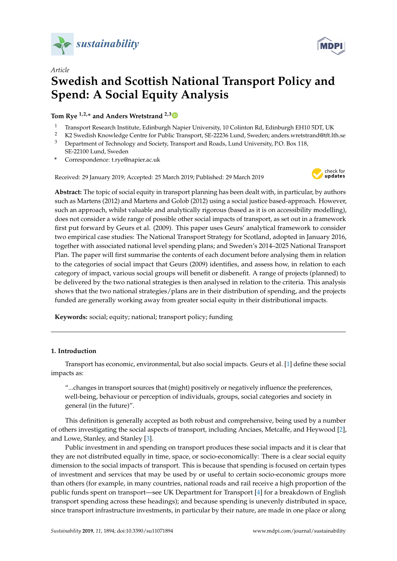

*Article*



# **Swedish and Scottish National Transport Policy and Spend: A Social Equity Analysis**

# **Tom Rye 1,2,\* and Anders Wretstrand 2,[3](https://orcid.org/0000-0002-7394-4534)**

- 1 Transport Research Institute, Edinburgh Napier University, 10 Colinton Rd, Edinburgh EH10 5DT, UK<br>2 K2 Suredish Knowledge Contre for Public Transport, SE 22226 Lund, Suredon: anders uretetrand@tt, 1t
- <sup>2</sup> K2 Swedish Knowledge Centre for Public Transport, SE-22236 Lund, Sweden; anders.wretstrand@tft.lth.se
- <sup>3</sup> Department of Technology and Society, Transport and Roads, Lund University, P.O. Box 118, SE-22100 Lund, Sweden
- **\*** Correspondence: t.rye@napier.ac.uk

Received: 29 January 2019; Accepted: 25 March 2019; Published: 29 March 2019



**Abstract:** The topic of social equity in transport planning has been dealt with, in particular, by authors such as Martens (2012) and Martens and Golob (2012) using a social justice based-approach. However, such an approach, whilst valuable and analytically rigorous (based as it is on accessibility modelling), does not consider a wide range of possible other social impacts of transport, as set out in a framework first put forward by Geurs et al. (2009). This paper uses Geurs' analytical framework to consider two empirical case studies: The National Transport Strategy for Scotland, adopted in January 2016, together with associated national level spending plans; and Sweden's 2014–2025 National Transport Plan. The paper will first summarise the contents of each document before analysing them in relation to the categories of social impact that Geurs (2009) identifies, and assess how, in relation to each category of impact, various social groups will benefit or disbenefit. A range of projects (planned) to be delivered by the two national strategies is then analysed in relation to the criteria. This analysis shows that the two national strategies/plans are in their distribution of spending, and the projects funded are generally working away from greater social equity in their distributional impacts.

**Keywords:** social; equity; national; transport policy; funding

# **1. Introduction**

Transport has economic, environmental, but also social impacts. Geurs et al. [\[1\]](#page-14-0) define these social impacts as:

"...changes in transport sources that (might) positively or negatively influence the preferences, well-being, behaviour or perception of individuals, groups, social categories and society in general (in the future)".

This definition is generally accepted as both robust and comprehensive, being used by a number of others investigating the social aspects of transport, including Anciaes, Metcalfe, and Heywood [\[2\]](#page-14-1), and Lowe, Stanley, and Stanley [\[3\]](#page-14-2).

Public investment in and spending on transport produces these social impacts and it is clear that they are not distributed equally in time, space, or socio-economically: There is a clear social equity dimension to the social impacts of transport. This is because that spending is focused on certain types of investment and services that may be used by or useful to certain socio-economic groups more than others (for example, in many countries, national roads and rail receive a high proportion of the public funds spent on transport—see UK Department for Transport [\[4\]](#page-14-3) for a breakdown of English transport spending across these headings); and because spending is unevenly distributed in space, since transport infrastructure investments, in particular by their nature, are made in one place or along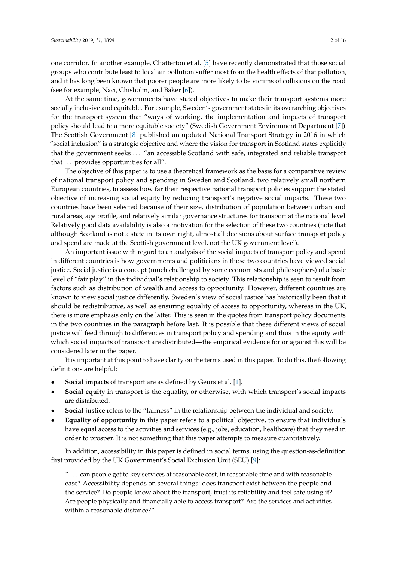one corridor. In another example, Chatterton et al. [\[5\]](#page-14-4) have recently demonstrated that those social groups who contribute least to local air pollution suffer most from the health effects of that pollution, and it has long been known that poorer people are more likely to be victims of collisions on the road (see for example, Naci, Chisholm, and Baker [\[6\]](#page-14-5)).

At the same time, governments have stated objectives to make their transport systems more socially inclusive and equitable. For example, Sweden's government states in its overarching objectives for the transport system that "ways of working, the implementation and impacts of transport policy should lead to a more equitable society" (Swedish Government Environment Department [\[7\]](#page-14-6)). The Scottish Government [\[8\]](#page-14-7) published an updated National Transport Strategy in 2016 in which "social inclusion" is a strategic objective and where the vision for transport in Scotland states explicitly that the government seeks . . . "an accessible Scotland with safe, integrated and reliable transport that . . . provides opportunities for all".

The objective of this paper is to use a theoretical framework as the basis for a comparative review of national transport policy and spending in Sweden and Scotland, two relatively small northern European countries, to assess how far their respective national transport policies support the stated objective of increasing social equity by reducing transport's negative social impacts. These two countries have been selected because of their size, distribution of population between urban and rural areas, age profile, and relatively similar governance structures for transport at the national level. Relatively good data availability is also a motivation for the selection of these two countries (note that although Scotland is not a state in its own right, almost all decisions about surface transport policy and spend are made at the Scottish government level, not the UK government level).

An important issue with regard to an analysis of the social impacts of transport policy and spend in different countries is how governments and politicians in those two countries have viewed social justice. Social justice is a concept (much challenged by some economists and philosophers) of a basic level of "fair play" in the individual's relationship to society. This relationship is seen to result from factors such as distribution of wealth and access to opportunity. However, different countries are known to view social justice differently. Sweden's view of social justice has historically been that it should be redistributive, as well as ensuring equality of access to opportunity, whereas in the UK, there is more emphasis only on the latter. This is seen in the quotes from transport policy documents in the two countries in the paragraph before last. It is possible that these different views of social justice will feed through to differences in transport policy and spending and thus in the equity with which social impacts of transport are distributed—the empirical evidence for or against this will be considered later in the paper.

It is important at this point to have clarity on the terms used in this paper. To do this, the following definitions are helpful:

- **Social impacts** of transport are as defined by Geurs et al. [\[1\]](#page-14-0).
- **Social equity** in transport is the equality, or otherwise, with which transport's social impacts are distributed.
- **Social justice** refers to the "fairness" in the relationship between the individual and society.
- **Equality of opportunity** in this paper refers to a political objective, to ensure that individuals have equal access to the activities and services (e.g., jobs, education, healthcare) that they need in order to prosper. It is not something that this paper attempts to measure quantitatively.

In addition, accessibility in this paper is defined in social terms, using the question-as-definition first provided by the UK Government's Social Exclusion Unit (SEU) [\[9\]](#page-14-8):

 $\ldots$  can people get to key services at reasonable cost, in reasonable time and with reasonable ease? Accessibility depends on several things: does transport exist between the people and the service? Do people know about the transport, trust its reliability and feel safe using it? Are people physically and financially able to access transport? Are the services and activities within a reasonable distance?"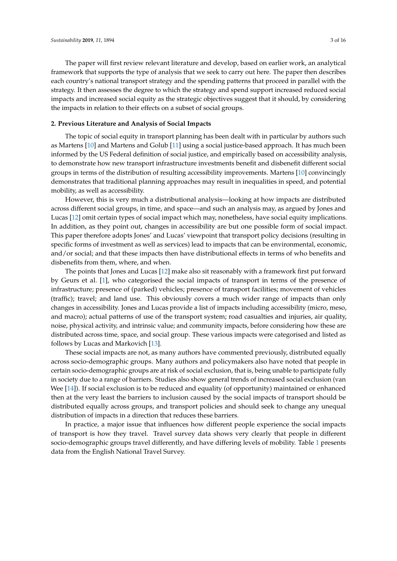The paper will first review relevant literature and develop, based on earlier work, an analytical framework that supports the type of analysis that we seek to carry out here. The paper then describes each country's national transport strategy and the spending patterns that proceed in parallel with the strategy. It then assesses the degree to which the strategy and spend support increased reduced social impacts and increased social equity as the strategic objectives suggest that it should, by considering the impacts in relation to their effects on a subset of social groups.

# <span id="page-2-0"></span>**2. Previous Literature and Analysis of Social Impacts**

The topic of social equity in transport planning has been dealt with in particular by authors such as Martens [\[10\]](#page-14-9) and Martens and Golub [\[11\]](#page-14-10) using a social justice-based approach. It has much been informed by the US Federal definition of social justice, and empirically based on accessibility analysis, to demonstrate how new transport infrastructure investments benefit and disbenefit different social groups in terms of the distribution of resulting accessibility improvements. Martens [\[10\]](#page-14-9) convincingly demonstrates that traditional planning approaches may result in inequalities in speed, and potential mobility, as well as accessibility.

However, this is very much a distributional analysis—looking at how impacts are distributed across different social groups, in time, and space—and such an analysis may, as argued by Jones and Lucas [\[12\]](#page-14-11) omit certain types of social impact which may, nonetheless, have social equity implications. In addition, as they point out, changes in accessibility are but one possible form of social impact. This paper therefore adopts Jones' and Lucas' viewpoint that transport policy decisions (resulting in specific forms of investment as well as services) lead to impacts that can be environmental, economic, and/or social; and that these impacts then have distributional effects in terms of who benefits and disbenefits from them, where, and when.

The points that Jones and Lucas [\[12\]](#page-14-11) make also sit reasonably with a framework first put forward by Geurs et al. [\[1\]](#page-14-0), who categorised the social impacts of transport in terms of the presence of infrastructure; presence of (parked) vehicles; presence of transport facilities; movement of vehicles (traffic); travel; and land use. This obviously covers a much wider range of impacts than only changes in accessibility. Jones and Lucas provide a list of impacts including accessibility (micro, meso, and macro); actual patterns of use of the transport system; road casualties and injuries, air quality, noise, physical activity, and intrinsic value; and community impacts, before considering how these are distributed across time, space, and social group. These various impacts were categorised and listed as follows by Lucas and Markovich [\[13\]](#page-14-12).

These social impacts are not, as many authors have commented previously, distributed equally across socio-demographic groups. Many authors and policymakers also have noted that people in certain socio-demographic groups are at risk of social exclusion, that is, being unable to participate fully in society due to a range of barriers. Studies also show general trends of increased social exclusion (van Wee [\[14\]](#page-14-13)). If social exclusion is to be reduced and equality (of opportunity) maintained or enhanced then at the very least the barriers to inclusion caused by the social impacts of transport should be distributed equally across groups, and transport policies and should seek to change any unequal distribution of impacts in a direction that reduces these barriers.

In practice, a major issue that influences how different people experience the social impacts of transport is how they travel. Travel survey data shows very clearly that people in different socio-demographic groups travel differently, and have differing levels of mobility. Table [1](#page-3-0) presents data from the English National Travel Survey.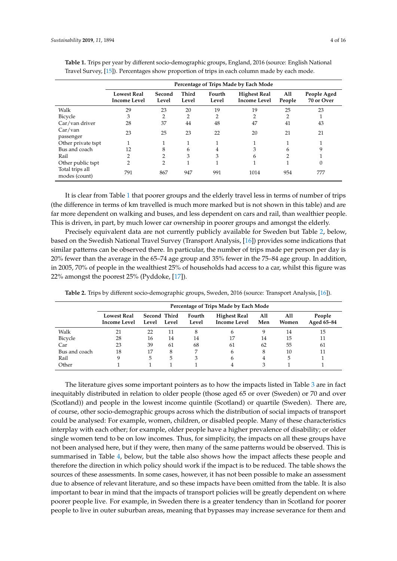|                                  | Percentage of Trips Made by Each Mode     |                 |                |                 |                                            |                |                           |  |
|----------------------------------|-------------------------------------------|-----------------|----------------|-----------------|--------------------------------------------|----------------|---------------------------|--|
|                                  | <b>Lowest Real</b><br><b>Income Level</b> | Second<br>Level | Third<br>Level | Fourth<br>Level | <b>Highest Real</b><br><b>Income Level</b> | All<br>People  | People Aged<br>70 or Over |  |
| Walk                             | 29                                        | 23              | 20             | 19              | 19                                         | 25             | 23                        |  |
| Bicycle                          | 3                                         | $\overline{2}$  | $\overline{2}$ | 2               | 2                                          | $\overline{2}$ |                           |  |
| Car/van driver                   | 28                                        | 37              | 44             | 48              | 47                                         | 41             | 43                        |  |
| Car/van<br>passenger             | 23                                        | 25              | 23             | 22              | 20                                         | 21             | 21                        |  |
| Other private tspt               |                                           | 1               |                |                 |                                            |                |                           |  |
| Bus and coach                    | 12                                        | 8               | 6              | 4               | 3                                          | 6              | 9                         |  |
| Rail                             | າ                                         | $\overline{2}$  | 3              | 3               | 6                                          | າ              |                           |  |
| Other public tspt                | っ                                         | $\overline{2}$  | 1              | и               | 1                                          |                | 0                         |  |
| Total trips all<br>modes (count) | 791                                       | 867             | 947            | 991             | 1014                                       | 954            | 777                       |  |

<span id="page-3-0"></span>**Table 1.** Trips per year by different socio-demographic groups, England, 2016 (source: English National Travel Survey, [\[15\]](#page-14-14)). Percentages show proportion of trips in each column made by each mode.

It is clear from Table [1](#page-3-0) that poorer groups and the elderly travel less in terms of number of trips (the difference in terms of km travelled is much more marked but is not shown in this table) and are far more dependent on walking and buses, and less dependent on cars and rail, than wealthier people. This is driven, in part, by much lower car ownership in poorer groups and amongst the elderly.

Precisely equivalent data are not currently publicly available for Sweden but Table [2,](#page-3-1) below, based on the Swedish National Travel Survey (Transport Analysis, [\[16\]](#page-14-15)) provides some indications that similar patterns can be observed there. In particular, the number of trips made per person per day is 20% fewer than the average in the 65–74 age group and 35% fewer in the 75–84 age group. In addition, in 2005, 70% of people in the wealthiest 25% of households had access to a car, whilst this figure was 22% amongst the poorest 25% (Pyddoke, [\[17\]](#page-14-16)).

|               | Percentage of Trips Made by Each Mode     |       |                       |                 |                                            |            |              |                      |
|---------------|-------------------------------------------|-------|-----------------------|-----------------|--------------------------------------------|------------|--------------|----------------------|
|               | <b>Lowest Real</b><br><b>Income Level</b> | Level | Second Third<br>Level | Fourth<br>Level | <b>Highest Real</b><br><b>Income Level</b> | All<br>Men | All<br>Women | People<br>Aged 65-84 |
| Walk          | 21                                        | 22    | 11                    | 8               | 6                                          | 9          | 14           | 15                   |
| Bicycle       | 28                                        | 16    | 14                    | 14              | 17                                         | 14         | 15           | 11                   |
| Car           | 23                                        | 39    | 61                    | 68              | 61                                         | 62         | 55           | 61                   |
| Bus and coach | 18                                        | 17    | 8                     |                 | 6                                          | 8          | 10           | 11                   |
| Rail          | 9                                         | 5     | 5                     | 3               | 6                                          | 4          | 5            |                      |
| Other         |                                           |       |                       |                 | 4                                          | 3          |              |                      |

<span id="page-3-1"></span>**Table 2.** Trips by different socio-demographic groups, Sweden, 2016 (source: Transport Analysis, [\[16\]](#page-14-15)).

The literature gives some important pointers as to how the impacts listed in Table [3](#page-4-0) are in fact inequitably distributed in relation to older people (those aged 65 or over (Sweden) or 70 and over (Scotland)) and people in the lowest income quintile (Scotland) or quartile (Sweden). There are, of course, other socio-demographic groups across which the distribution of social impacts of transport could be analysed: For example, women, children, or disabled people. Many of these characteristics interplay with each other; for example, older people have a higher prevalence of disability; or older single women tend to be on low incomes. Thus, for simplicity, the impacts on all these groups have not been analysed here, but if they were, then many of the same patterns would be observed. This is summarised in Table [4,](#page-5-0) below, but the table also shows how the impact affects these people and therefore the direction in which policy should work if the impact is to be reduced. The table shows the sources of these assessments. In some cases, however, it has not been possible to make an assessment due to absence of relevant literature, and so these impacts have been omitted from the table. It is also important to bear in mind that the impacts of transport policies will be greatly dependent on where poorer people live. For example, in Sweden there is a greater tendency than in Scotland for poorer people to live in outer suburban areas, meaning that bypasses may increase severance for them and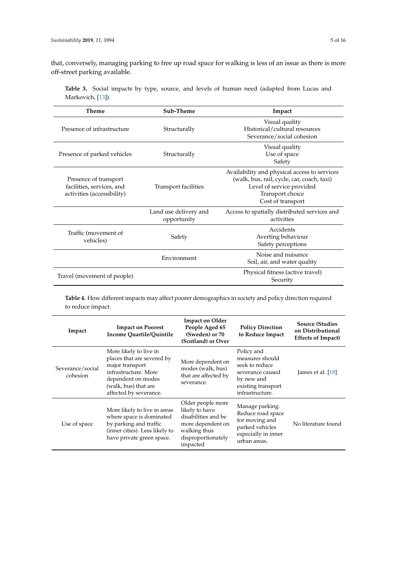that, conversely, managing parking to free up road space for walking is less of an issue as there is more off-street parking available.

<span id="page-4-0"></span>**Table 3.** Social impacts by type, source, and levels of human need (adapted from Lucas and Markovich, [\[13\]](#page-14-12)).

| <b>Theme</b>                                                                     | Sub-Theme                            | Impact                                                                                                                                                           |
|----------------------------------------------------------------------------------|--------------------------------------|------------------------------------------------------------------------------------------------------------------------------------------------------------------|
| Presence of infrastructure                                                       | Structurally                         | Visual quality<br>Historical/cultural resources<br>Severance/social cohesion                                                                                     |
| Presence of parked vehicles                                                      | Structurally                         | Visual quality<br>Use of space<br>Safety                                                                                                                         |
| Presence of transport<br>facilities, services, and<br>activities (accessibility) | Transport facilities                 | Availability and physical access to services<br>(walk, bus, rail, cycle, car, coach, taxi)<br>Level of service provided<br>Transport choice<br>Cost of transport |
|                                                                                  | Land use delivery and<br>opportunity | Access to spatially distributed services and<br>activities                                                                                                       |
| Traffic (movement of<br>vehicles)                                                | Safety                               | Accidents<br>Averting behaviour<br>Safety perceptions                                                                                                            |
|                                                                                  | Environment                          | Noise and nuisance<br>Soil, air, and water quality                                                                                                               |
| Travel (movement of people)                                                      |                                      | Physical fitness (active travel)<br>Security                                                                                                                     |

**Table 4.** How different impacts may affect poorer demographics in society and policy direction required to reduce impact.

| Impact                       | <b>Impact on Poorest</b><br><b>Income Quartile/Quintile</b>                                                                                                             | <b>Impact on Older</b><br>People Aged 65<br>(Sweden) or 70<br>(Scotland) or Over                                                  | <b>Policy Direction</b><br>to Reduce Impact                                                                                | <b>Source (Studies</b><br>on Distributional<br><b>Effects of Impact)</b> |
|------------------------------|-------------------------------------------------------------------------------------------------------------------------------------------------------------------------|-----------------------------------------------------------------------------------------------------------------------------------|----------------------------------------------------------------------------------------------------------------------------|--------------------------------------------------------------------------|
| Severance/social<br>cohesion | More likely to live in<br>places that are severed by<br>major transport<br>infrastructure. More<br>dependent on modes<br>(walk, bus) that are<br>affected by severance. | More dependent on<br>modes (walk, bus)<br>that are affected by<br>severance.                                                      | Policy and<br>measures should<br>seek to reduce<br>severance caused<br>by new and<br>existing transport<br>infrastructure. | James et al. $[18]$                                                      |
| Use of space                 | More likely to live in areas<br>where space is dominated<br>by parking and traffic<br>(inner cities). Less likely to<br>have private green space.                       | Older people more<br>likely to have<br>disabilities and be<br>more dependent on<br>walking thus<br>disproportionately<br>impacted | Manage parking.<br>Reduce road space<br>for moving and<br>parked vehicles<br>especially in inner<br>urban areas.           | No literature found                                                      |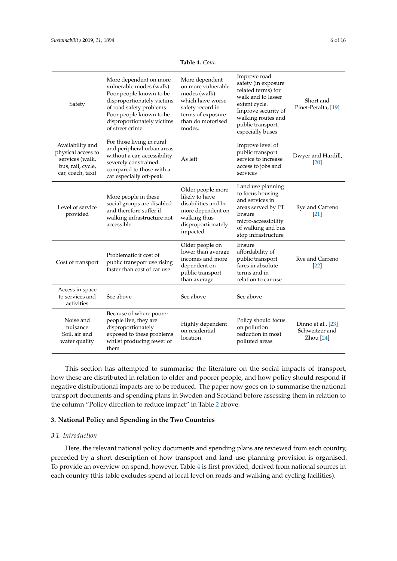<span id="page-5-0"></span>

| Safety                                                                                              | More dependent on more<br>vulnerable modes (walk).<br>Poor people known to be<br>disproportionately victims<br>of road safety problems<br>Poor people known to be<br>disproportionately victims<br>of street crime | More dependent<br>on more vulnerable<br>modes (walk)<br>which have worse<br>safety record in<br>terms of exposure<br>than do motorised<br>modes. | Improve road<br>safety (in exposure<br>related terms) for<br>walk and to lesser<br>extent cycle.<br>Improve security of<br>walking routes and<br>public transport,<br>especially buses | Short and<br>Pinet-Peralta, [19]                    |
|-----------------------------------------------------------------------------------------------------|--------------------------------------------------------------------------------------------------------------------------------------------------------------------------------------------------------------------|--------------------------------------------------------------------------------------------------------------------------------------------------|----------------------------------------------------------------------------------------------------------------------------------------------------------------------------------------|-----------------------------------------------------|
| Availability and<br>physical access to<br>services (walk,<br>bus, rail, cycle,<br>car, coach, taxi) | For those living in rural<br>and peripheral urban areas<br>without a car, accessibility<br>severely constrained<br>compared to those with a<br>car especially off-peak                                             | As left                                                                                                                                          | Improve level of<br>public transport<br>service to increase<br>access to jobs and<br>services                                                                                          | Dwyer and Hardill,<br>[20]                          |
| Level of service<br>provided                                                                        | More people in these<br>social groups are disabled<br>and therefore suffer if<br>walking infrastructure not<br>accessible.                                                                                         | Older people more<br>likely to have<br>disabilities and be<br>more dependent on<br>walking thus<br>disproportionately<br>impacted                | Land use planning<br>to focus housing<br>and services in<br>areas served by PT<br>Ensure<br>micro-accessibility<br>of walking and bus<br>stop infrastructure                           | Rye and Carreno<br>[21]                             |
| Cost of transport                                                                                   | Problematic if cost of<br>public transport use rising<br>faster than cost of car use                                                                                                                               | Older people on<br>lower than average<br>incomes and more<br>dependent on<br>public transport<br>than average                                    | Ensure<br>affordability of<br>public transport<br>fares in absolute<br>terms and in<br>relation to car use                                                                             | Rye and Carreno<br>$\lceil 22 \rceil$               |
| Access in space<br>to services and<br>activities                                                    | See above                                                                                                                                                                                                          | See above                                                                                                                                        | See above                                                                                                                                                                              |                                                     |
| Noise and<br>nuisance<br>Soil, air and<br>water quality                                             | Because of where poorer<br>people live, they are<br>disproportionately<br>exposed to these problems<br>whilst producing fewer of<br>them                                                                           | Highly dependent<br>on residential<br>location                                                                                                   | Policy should focus<br>on pollution<br>reduction in most<br>polluted areas                                                                                                             | Dinno et al., [23]<br>Schweitzer and<br>Zhou $[24]$ |

**Table 4.** *Cont.*

This section has attempted to summarise the literature on the social impacts of transport, how these are distributed in relation to older and poorer people, and how policy should respond if negative distributional impacts are to be reduced. The paper now goes on to summarise the national transport documents and spending plans in Sweden and Scotland before assessing them in relation to the column "Policy direction to reduce impact" in Table [2](#page-3-1) above.

# **3. National Policy and Spending in the Two Countries**

## *3.1. Introduction*

Here, the relevant national policy documents and spending plans are reviewed from each country, preceded by a short description of how transport and land use planning provision is organised. To provide an overview on spend, however, Table [4](#page-5-0) is first provided, derived from national sources in each country (this table excludes spend at local level on roads and walking and cycling facilities).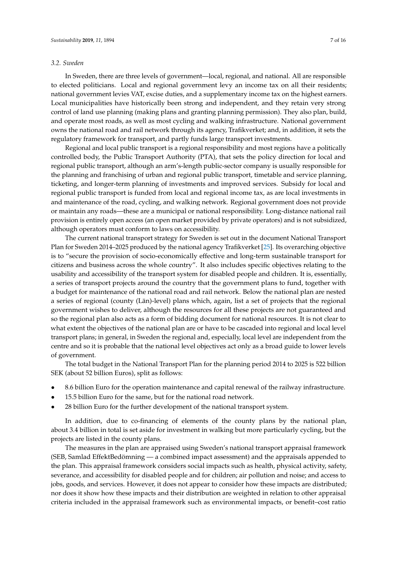## *3.2. Sweden*

In Sweden, there are three levels of government—local, regional, and national. All are responsible to elected politicians. Local and regional government levy an income tax on all their residents; national government levies VAT, excise duties, and a supplementary income tax on the highest earners. Local municipalities have historically been strong and independent, and they retain very strong control of land use planning (making plans and granting planning permission). They also plan, build, and operate most roads, as well as most cycling and walking infrastructure. National government owns the national road and rail network through its agency, Trafikverket; and, in addition, it sets the regulatory framework for transport, and partly funds large transport investments.

Regional and local public transport is a regional responsibility and most regions have a politically controlled body, the Public Transport Authority (PTA), that sets the policy direction for local and regional public transport, although an arm's-length public-sector company is usually responsible for the planning and franchising of urban and regional public transport, timetable and service planning, ticketing, and longer-term planning of investments and improved services. Subsidy for local and regional public transport is funded from local and regional income tax, as are local investments in and maintenance of the road, cycling, and walking network. Regional government does not provide or maintain any roads—these are a municipal or national responsibility. Long-distance national rail provision is entirely open access (an open market provided by private operators) and is not subsidized, although operators must conform to laws on accessibility.

The current national transport strategy for Sweden is set out in the document National Transport Plan for Sweden 2014–2025 produced by the national agency Trafikverket [\[25\]](#page-15-7). Its overarching objective is to "secure the provision of socio-economically effective and long-term sustainable transport for citizens and business across the whole country". It also includes specific objectives relating to the usability and accessibility of the transport system for disabled people and children. It is, essentially, a series of transport projects around the country that the government plans to fund, together with a budget for maintenance of the national road and rail network. Below the national plan are nested a series of regional (county (Län)-level) plans which, again, list a set of projects that the regional government wishes to deliver, although the resources for all these projects are not guaranteed and so the regional plan also acts as a form of bidding document for national resources. It is not clear to what extent the objectives of the national plan are or have to be cascaded into regional and local level transport plans; in general, in Sweden the regional and, especially, local level are independent from the centre and so it is probable that the national level objectives act only as a broad guide to lower levels of government.

The total budget in the National Transport Plan for the planning period 2014 to 2025 is 522 billion SEK (about 52 billion Euros), split as follows:

- 8.6 billion Euro for the operation maintenance and capital renewal of the railway infrastructure.
- 15.5 billion Euro for the same, but for the national road network.
- 28 billion Euro for the further development of the national transport system.

In addition, due to co-financing of elements of the county plans by the national plan, about 3.4 billion in total is set aside for investment in walking but more particularly cycling, but the projects are listed in the county plans.

The measures in the plan are appraised using Sweden's national transport appraisal framework (SEB, Samlad EffektBedömning — a combined impact assessment) and the appraisals appended to the plan. This appraisal framework considers social impacts such as health, physical activity, safety, severance, and accessibility for disabled people and for children; air pollution and noise; and access to jobs, goods, and services. However, it does not appear to consider how these impacts are distributed; nor does it show how these impacts and their distribution are weighted in relation to other appraisal criteria included in the appraisal framework such as environmental impacts, or benefit–cost ratio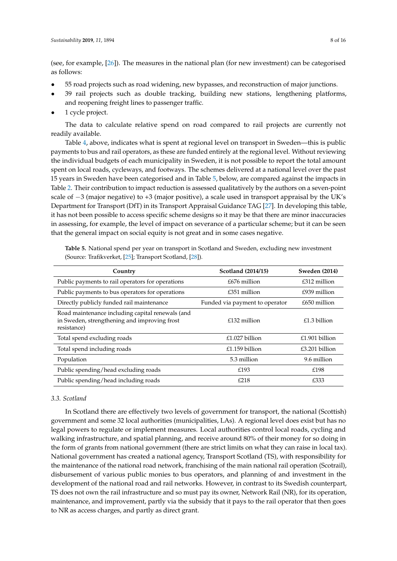(see, for example, [\[26\]](#page-15-8)). The measures in the national plan (for new investment) can be categorised as follows:

- 55 road projects such as road widening, new bypasses, and reconstruction of major junctions.
- 39 rail projects such as double tracking, building new stations, lengthening platforms, and reopening freight lines to passenger traffic.
- 1 cycle project.

The data to calculate relative spend on road compared to rail projects are currently not readily available.

Table [4,](#page-5-0) above, indicates what is spent at regional level on transport in Sweden—this is public payments to bus and rail operators, as these are funded entirely at the regional level. Without reviewing the individual budgets of each municipality in Sweden, it is not possible to report the total amount spent on local roads, cycleways, and footways. The schemes delivered at a national level over the past 15 years in Sweden have been categorised and in Table [5,](#page-7-0) below, are compared against the impacts in Table [2.](#page-3-1) Their contribution to impact reduction is assessed qualitatively by the authors on a seven-point scale of  $-3$  (major negative) to +3 (major positive), a scale used in transport appraisal by the UK's Department for Transport (DfT) in its Transport Appraisal Guidance TAG [\[27\]](#page-15-9). In developing this table, it has not been possible to access specific scheme designs so it may be that there are minor inaccuracies in assessing, for example, the level of impact on severance of a particular scheme; but it can be seen that the general impact on social equity is not great and in some cases negative.

<span id="page-7-0"></span>

| Table 5. National spend per year on transport in Scotland and Sweden, excluding new investment |  |  |  |
|------------------------------------------------------------------------------------------------|--|--|--|
| (Source: Trafikverket, [25]; Transport Scotland, [28]).                                        |  |  |  |

| Country                                                                                                         | Scotland (2014/15)             | <b>Sweden (2014)</b> |
|-----------------------------------------------------------------------------------------------------------------|--------------------------------|----------------------|
| Public payments to rail operators for operations                                                                | $£676$ million                 | $£312$ million       |
| Public payments to bus operators for operations                                                                 | $£351$ million                 | $£939$ million       |
| Directly publicly funded rail maintenance                                                                       | Funded via payment to operator | $£650$ million       |
| Road maintenance including capital renewals (and<br>in Sweden, strengthening and improving frost<br>resistance) | $£132$ million                 | £1.3 billion         |
| Total spend excluding roads                                                                                     | $£1.027$ billion               | £1.901 billion       |
| Total spend including roads                                                                                     | $£1.159$ billion               | £3.201 billion       |
| Population                                                                                                      | 5.3 million                    | 9.6 million          |
| Public spending/head excluding roads                                                                            | £193                           | £198                 |
| Public spending/head including roads                                                                            | £218                           | £333                 |

## *3.3. Scotland*

In Scotland there are effectively two levels of government for transport, the national (Scottish) government and some 32 local authorities (municipalities, LAs). A regional level does exist but has no legal powers to regulate or implement measures. Local authorities control local roads, cycling and walking infrastructure, and spatial planning, and receive around 80% of their money for so doing in the form of grants from national government (there are strict limits on what they can raise in local tax). National government has created a national agency, Transport Scotland (TS), with responsibility for the maintenance of the national road network, franchising of the main national rail operation (Scotrail), disbursement of various public monies to bus operators, and planning of and investment in the development of the national road and rail networks. However, in contrast to its Swedish counterpart, TS does not own the rail infrastructure and so must pay its owner, Network Rail (NR), for its operation, maintenance, and improvement, partly via the subsidy that it pays to the rail operator that then goes to NR as access charges, and partly as direct grant.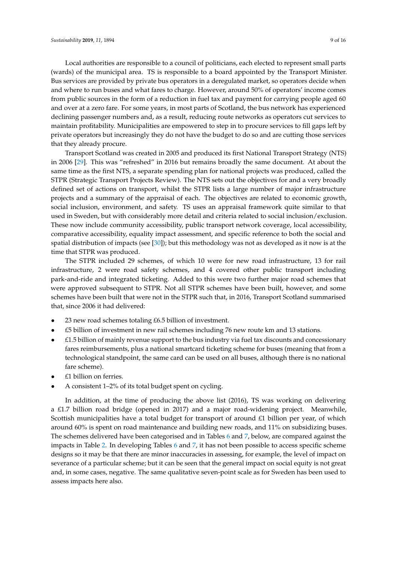Local authorities are responsible to a council of politicians, each elected to represent small parts (wards) of the municipal area. TS is responsible to a board appointed by the Transport Minister. Bus services are provided by private bus operators in a deregulated market, so operators decide when and where to run buses and what fares to charge. However, around 50% of operators' income comes from public sources in the form of a reduction in fuel tax and payment for carrying people aged 60 and over at a zero fare. For some years, in most parts of Scotland, the bus network has experienced declining passenger numbers and, as a result, reducing route networks as operators cut services to maintain profitability. Municipalities are empowered to step in to procure services to fill gaps left by private operators but increasingly they do not have the budget to do so and are cutting those services that they already procure.

Transport Scotland was created in 2005 and produced its first National Transport Strategy (NTS) in 2006 [\[29\]](#page-15-11). This was "refreshed" in 2016 but remains broadly the same document. At about the same time as the first NTS, a separate spending plan for national projects was produced, called the STPR (Strategic Transport Projects Review). The NTS sets out the objectives for and a very broadly defined set of actions on transport, whilst the STPR lists a large number of major infrastructure projects and a summary of the appraisal of each. The objectives are related to economic growth, social inclusion, environment, and safety. TS uses an appraisal framework quite similar to that used in Sweden, but with considerably more detail and criteria related to social inclusion/exclusion. These now include community accessibility, public transport network coverage, local accessibility, comparative accessibility, equality impact assessment, and specific reference to both the social and spatial distribution of impacts (see [\[30\]](#page-15-12)); but this methodology was not as developed as it now is at the time that STPR was produced.

The STPR included 29 schemes, of which 10 were for new road infrastructure, 13 for rail infrastructure, 2 were road safety schemes, and 4 covered other public transport including park-and-ride and integrated ticketing. Added to this were two further major road schemes that were approved subsequent to STPR. Not all STPR schemes have been built, however, and some schemes have been built that were not in the STPR such that, in 2016, Transport Scotland summarised that, since 2006 it had delivered:

- 23 new road schemes totaling £6.5 billion of investment.
- £5 billion of investment in new rail schemes including 76 new route km and 13 stations.
- $£1.5$  billion of mainly revenue support to the bus industry via fuel tax discounts and concessionary fares reimbursements, plus a national smartcard ticketing scheme for buses (meaning that from a technological standpoint, the same card can be used on all buses, although there is no national fare scheme).
- £1 billion on ferries.
- A consistent 1–2% of its total budget spent on cycling.

In addition, at the time of producing the above list (2016), TS was working on delivering a £1.7 billion road bridge (opened in 2017) and a major road-widening project. Meanwhile, Scottish municipalities have a total budget for transport of around £1 billion per year, of which around 60% is spent on road maintenance and building new roads, and 11% on subsidizing buses. The schemes delivered have been categorised and in Tables [6](#page-9-0) and [7,](#page-10-0) below, are compared against the impacts in Table [2.](#page-3-1) In developing Tables [6](#page-9-0) and [7,](#page-10-0) it has not been possible to access specific scheme designs so it may be that there are minor inaccuracies in assessing, for example, the level of impact on severance of a particular scheme; but it can be seen that the general impact on social equity is not great and, in some cases, negative. The same qualitative seven-point scale as for Sweden has been used to assess impacts here also.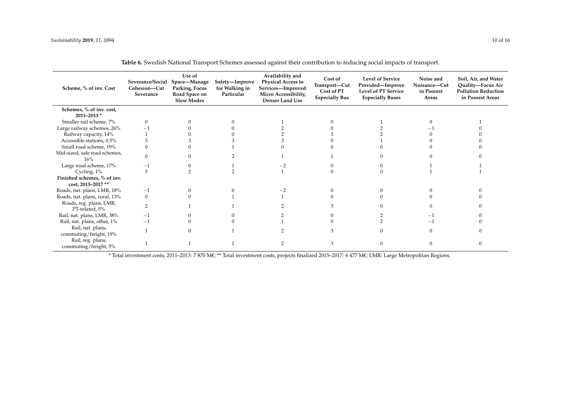| Scheme, % of inv. Cost                            | Severance/Social<br>Cohesion-Cut<br>Severance | Use of<br>Space-Manage<br>Parking, Focus<br>Road Space on<br><b>Slow Modes</b> | Safety-Improve<br>for Walking in<br>Particular | Availability and<br><b>Physical Access to</b><br>Services-Improved<br>Micro Accessibility,<br>Denser Land Use | Cost of<br>Transport-Cut<br>Cost of PT<br><b>Especially Bus</b> | <b>Level of Service</b><br>Provided-Improve<br><b>Level of PT Service</b><br><b>Especially Buses</b> | Noise and<br>Nuisance-Cut<br>in Poorest<br>Areas | Soil, Air, and Water<br>Quality-Focus Air<br><b>Pollution Reduction</b><br>in Poorest Areas |
|---------------------------------------------------|-----------------------------------------------|--------------------------------------------------------------------------------|------------------------------------------------|---------------------------------------------------------------------------------------------------------------|-----------------------------------------------------------------|------------------------------------------------------------------------------------------------------|--------------------------------------------------|---------------------------------------------------------------------------------------------|
| Schemes, % of inv. cost,                          |                                               |                                                                                |                                                |                                                                                                               |                                                                 |                                                                                                      |                                                  |                                                                                             |
| 2011-2013*                                        |                                               |                                                                                |                                                |                                                                                                               |                                                                 |                                                                                                      |                                                  |                                                                                             |
| Smaller rail scheme, 7%                           | $\Omega$                                      |                                                                                |                                                |                                                                                                               |                                                                 |                                                                                                      |                                                  |                                                                                             |
| Large railway schemes, 26%                        |                                               |                                                                                |                                                |                                                                                                               |                                                                 |                                                                                                      |                                                  |                                                                                             |
| Railway capacity, 14%                             |                                               |                                                                                |                                                |                                                                                                               |                                                                 |                                                                                                      |                                                  |                                                                                             |
| Accessible stations, 0.5%                         |                                               |                                                                                |                                                |                                                                                                               |                                                                 |                                                                                                      |                                                  |                                                                                             |
| Small road scheme, 19%                            |                                               |                                                                                |                                                |                                                                                                               |                                                                 |                                                                                                      |                                                  |                                                                                             |
| Mid-sized, safe road schemes,<br>16%              | $\Omega$                                      |                                                                                |                                                |                                                                                                               |                                                                 |                                                                                                      |                                                  |                                                                                             |
| Large road scheme, 17%                            | $-1$                                          |                                                                                |                                                |                                                                                                               |                                                                 |                                                                                                      |                                                  |                                                                                             |
| Cycling, 1%                                       |                                               |                                                                                |                                                |                                                                                                               |                                                                 |                                                                                                      |                                                  |                                                                                             |
| Finished schemes, % of inv.<br>cost, 2015-2017 ** |                                               |                                                                                |                                                |                                                                                                               |                                                                 |                                                                                                      |                                                  |                                                                                             |
| Roads, nat. plans, LMR, 18%                       | $-1$                                          |                                                                                |                                                |                                                                                                               |                                                                 |                                                                                                      |                                                  |                                                                                             |
| Roads, nat. plans, rural, 13%                     | $\Omega$                                      |                                                                                |                                                |                                                                                                               |                                                                 |                                                                                                      |                                                  |                                                                                             |
| Roads, reg. plans, LMR,<br>PT-related, 5%         | $\mathfrak{D}$                                |                                                                                |                                                |                                                                                                               |                                                                 |                                                                                                      |                                                  |                                                                                             |
| Rail, nat. plans, LMR, 38%                        | $-1$                                          |                                                                                |                                                |                                                                                                               |                                                                 |                                                                                                      |                                                  |                                                                                             |
| Rail, nat. plans, other, 1%                       | $-1$                                          |                                                                                |                                                |                                                                                                               |                                                                 |                                                                                                      |                                                  |                                                                                             |
| Rail, nat. plans,<br>commuting/freight, 19%       |                                               |                                                                                |                                                |                                                                                                               |                                                                 |                                                                                                      |                                                  |                                                                                             |
| Rail, reg. plans,<br>commuting/freight, 5%        |                                               |                                                                                |                                                |                                                                                                               |                                                                 |                                                                                                      |                                                  |                                                                                             |

|  | Table 6. Swedish National Transport Schemes assessed against their contribution to reducing social impacts of transport. |  |  |  |
|--|--------------------------------------------------------------------------------------------------------------------------|--|--|--|
|--|--------------------------------------------------------------------------------------------------------------------------|--|--|--|

<span id="page-9-0"></span>\* Total investment costs, 2011–2013: 7 870 M€; \*\* Total investment costs, projects finalized 2015–2017: 6 477 M€; LMR: Large Metropolitan Regions.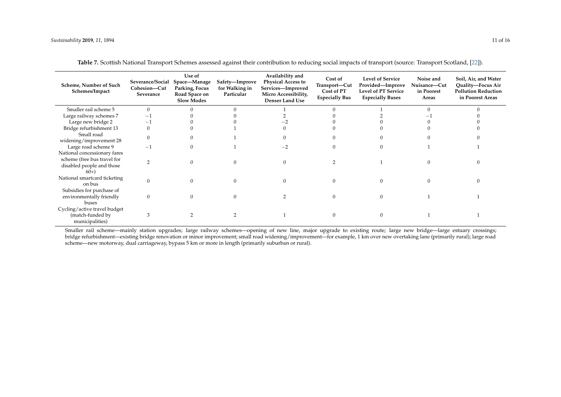| Scheme, Number of Such<br>Schemes/Impact                                                          | Severance/Social<br>Cohesion-Cut<br>Severance | Use of<br>Space-Manage<br>Parking, Focus<br>Road Space on<br><b>Slow Modes</b> | Safety-Improve<br>for Walking in<br>Particular | Availability and<br><b>Physical Access to</b><br>Services-Improved<br>Micro Accessibility,<br>Denser Land Use | Cost of<br>Transport—Cut<br>Cost of PT<br><b>Especially Bus</b> | <b>Level of Service</b><br>Provided-Improve<br><b>Level of PT Service</b><br><b>Especially Buses</b> | Noise and<br>Nuisance—Cut<br>in Poorest<br>Areas | Soil, Air, and Water<br>Quality-Focus Air<br><b>Pollution Reduction</b><br>in Poorest Areas |
|---------------------------------------------------------------------------------------------------|-----------------------------------------------|--------------------------------------------------------------------------------|------------------------------------------------|---------------------------------------------------------------------------------------------------------------|-----------------------------------------------------------------|------------------------------------------------------------------------------------------------------|--------------------------------------------------|---------------------------------------------------------------------------------------------|
| Smaller rail scheme 5                                                                             | $\Omega$                                      |                                                                                |                                                |                                                                                                               |                                                                 |                                                                                                      |                                                  |                                                                                             |
| Large railway schemes 7                                                                           |                                               |                                                                                |                                                |                                                                                                               |                                                                 |                                                                                                      |                                                  |                                                                                             |
| Large new bridge 2                                                                                |                                               |                                                                                |                                                |                                                                                                               |                                                                 |                                                                                                      |                                                  |                                                                                             |
| Bridge refurbishment 13                                                                           |                                               |                                                                                |                                                |                                                                                                               |                                                                 |                                                                                                      |                                                  |                                                                                             |
| Small road<br>widening/improvement 28                                                             |                                               |                                                                                |                                                |                                                                                                               |                                                                 |                                                                                                      |                                                  |                                                                                             |
| Large road scheme 9                                                                               | $-1$                                          | $\Omega$                                                                       |                                                |                                                                                                               |                                                                 |                                                                                                      |                                                  |                                                                                             |
| National concessionary fares<br>scheme (free bus travel for<br>disabled people and those<br>$60+$ |                                               | $\Omega$                                                                       |                                                |                                                                                                               |                                                                 |                                                                                                      |                                                  |                                                                                             |
| National smartcard ticketing<br>on bus                                                            |                                               | $\Omega$                                                                       |                                                |                                                                                                               |                                                                 |                                                                                                      |                                                  |                                                                                             |
| Subsidies for purchase of<br>environmentally friendly<br>buses                                    |                                               | $\Omega$                                                                       |                                                |                                                                                                               |                                                                 |                                                                                                      |                                                  |                                                                                             |
| Cycling/active travel budget<br>(match-funded by<br>municipalities)                               |                                               |                                                                                |                                                |                                                                                                               |                                                                 |                                                                                                      |                                                  |                                                                                             |

**Table 7.** Scottish National Transport Schemes assessed against their contribution to reducing social impacts of transport (source: Transport Scotland, [\[22\]](#page-15-13)).

<span id="page-10-0"></span>Smaller rail scheme—mainly station upgrades; large railway schemes—opening of new line, major upgrade to existing route; large new bridge—large estuary crossings; bridge refurbishment—existing bridge renovation or minor improvement; small road widening/improvement—for example, 1 km over new overtaking lane (primarily rural); large road scheme—new motorway, dual carriageway, bypass 5 km or more in length (primarily suburban or rural).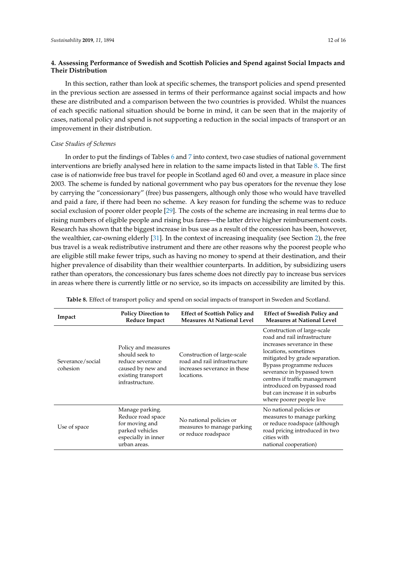# **4. Assessing Performance of Swedish and Scottish Policies and Spend against Social Impacts and Their Distribution**

In this section, rather than look at specific schemes, the transport policies and spend presented in the previous section are assessed in terms of their performance against social impacts and how these are distributed and a comparison between the two countries is provided. Whilst the nuances of each specific national situation should be borne in mind, it can be seen that in the majority of cases, national policy and spend is not supporting a reduction in the social impacts of transport or an improvement in their distribution.

## *Case Studies of Schemes*

In order to put the findings of Tables [6](#page-9-0) and [7](#page-10-0) into context, two case studies of national government interventions are briefly analysed here in relation to the same impacts listed in that Table [8.](#page-12-0) The first case is of nationwide free bus travel for people in Scotland aged 60 and over, a measure in place since 2003. The scheme is funded by national government who pay bus operators for the revenue they lose by carrying the "concessionary" (free) bus passengers, although only those who would have travelled and paid a fare, if there had been no scheme. A key reason for funding the scheme was to reduce social exclusion of poorer older people [\[29\]](#page-15-11). The costs of the scheme are increasing in real terms due to rising numbers of eligible people and rising bus fares—the latter drive higher reimbursement costs. Research has shown that the biggest increase in bus use as a result of the concession has been, however, the wealthier, car-owning elderly [\[31\]](#page-15-14). In the context of increasing inequality (see Section [2\)](#page-2-0), the free bus travel is a weak redistributive instrument and there are other reasons why the poorest people who are eligible still make fewer trips, such as having no money to spend at their destination, and their higher prevalence of disability than their wealthier counterparts. In addition, by subsidizing users rather than operators, the concessionary bus fares scheme does not directly pay to increase bus services in areas where there is currently little or no service, so its impacts on accessibility are limited by this.

| Impact                       | <b>Policy Direction to</b><br><b>Reduce Impact</b>                                                                      | <b>Effect of Scottish Policy and</b><br><b>Measures At National Level</b>                                 | <b>Effect of Swedish Policy and</b><br><b>Measures at National Level</b>                                                                                                                                                                                                                                                                      |
|------------------------------|-------------------------------------------------------------------------------------------------------------------------|-----------------------------------------------------------------------------------------------------------|-----------------------------------------------------------------------------------------------------------------------------------------------------------------------------------------------------------------------------------------------------------------------------------------------------------------------------------------------|
| Severance/social<br>cohesion | Policy and measures<br>should seek to<br>reduce severance<br>caused by new and<br>existing transport<br>infrastructure. | Construction of large-scale<br>road and rail infrastructure<br>increases severance in these<br>locations. | Construction of large-scale<br>road and rail infrastructure<br>increases severance in these<br>locations, sometimes<br>mitigated by grade separation.<br>Bypass programme reduces<br>severance in bypassed town<br>centres if traffic management<br>introduced on bypassed road<br>but can increase it in suburbs<br>where poorer people live |
| Use of space                 | Manage parking.<br>Reduce road space<br>for moving and<br>parked vehicles<br>especially in inner<br>urban areas.        | No national policies or<br>measures to manage parking<br>or reduce roadspace                              | No national policies or<br>measures to manage parking<br>or reduce roadspace (although<br>road pricing introduced in two<br>cities with<br>national cooperation)                                                                                                                                                                              |

**Table 8.** Effect of transport policy and spend on social impacts of transport in Sweden and Scotland.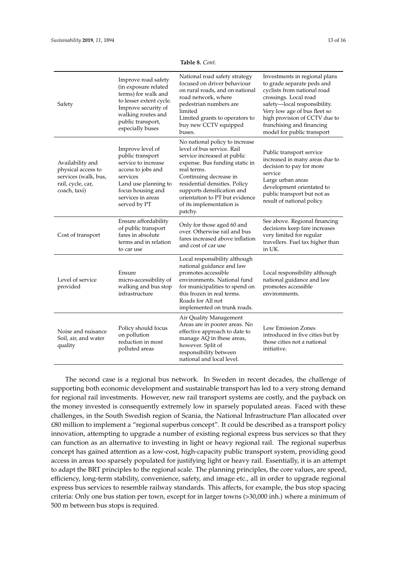<span id="page-12-0"></span>

| Safety                                                                                              | Improve road safety<br>(in exposure related<br>terms) for walk and<br>to lesser extent cycle.<br>Improve security of<br>walking routes and<br>public transport,<br>especially buses | National road safety strategy<br>focused on driver behaviour<br>on rural roads, and on national<br>road network, where<br>pedestrian numbers are<br>limited<br>Limited grants to operators to<br>buy new CCTV equipped<br>buses.                                                                               | Investments in regional plans<br>to grade separate peds and<br>cyclists from national road<br>crossings. Local road<br>safety-local responsibility.<br>Very low age of bus fleet so<br>high provision of CCTV due to<br>franchising and financing<br>model for public transport |
|-----------------------------------------------------------------------------------------------------|-------------------------------------------------------------------------------------------------------------------------------------------------------------------------------------|----------------------------------------------------------------------------------------------------------------------------------------------------------------------------------------------------------------------------------------------------------------------------------------------------------------|---------------------------------------------------------------------------------------------------------------------------------------------------------------------------------------------------------------------------------------------------------------------------------|
| Availability and<br>physical access to<br>services (walk, bus,<br>rail, cycle, car,<br>coach, taxi) | Improve level of<br>public transport<br>service to increase<br>access to jobs and<br>services<br>Land use planning to<br>focus housing and<br>services in areas<br>served by PT     | No national policy to increase<br>level of bus service. Rail<br>service increased at public<br>expense. Bus funding static in<br>real terms.<br>Continuing decrease in<br>residential densities. Policy<br>supports densification and<br>orientation to PT but evidence<br>of its implementation is<br>patchy. | Public transport service<br>increased in many areas due to<br>decision to pay for more<br>service<br>Large urban areas<br>development orientated to<br>public transport but not as<br>result of national policy.                                                                |
| Cost of transport                                                                                   | Ensure affordability<br>of public transport<br>fares in absolute<br>terms and in relation<br>to car use                                                                             | Only for those aged 60 and<br>over. Otherwise rail and bus<br>fares increased above inflation<br>and cost of car use                                                                                                                                                                                           | See above. Regional financing<br>decisions keep fare increases<br>very limited for regular<br>travellers. Fuel tax higher than<br>in UK.                                                                                                                                        |
| Level of service<br>provided                                                                        | Ensure<br>micro-accessibility of<br>walking and bus stop<br>infrastructure                                                                                                          | Local responsibility although<br>national guidance and law<br>promotes accessible<br>environments. National fund<br>for municipalities to spend on<br>this frozen in real terms.<br>Roads for All not<br>implemented on trunk roads.                                                                           | Local responsibility although<br>national guidance and law<br>promotes accessible<br>environments.                                                                                                                                                                              |
| Noise and nuisance<br>Soil, air, and water<br>quality                                               | Policy should focus<br>on pollution<br>reduction in most<br>polluted areas                                                                                                          | Air Quality Management<br>Areas are in poorer areas. No<br>effective approach to date to<br>manage AQ in these areas,<br>however. Split of<br>responsibility between<br>national and local level.                                                                                                              | Low Emission Zones<br>introduced in five cities but by<br>those cities not a national<br>initiative.                                                                                                                                                                            |

#### **Table 8.** *Cont.*

The second case is a regional bus network. In Sweden in recent decades, the challenge of supporting both economic development and sustainable transport has led to a very strong demand for regional rail investments. However, new rail transport systems are costly, and the payback on the money invested is consequently extremely low in sparsely populated areas. Faced with these challenges, in the South Swedish region of Scania, the National Infrastructure Plan allocated over £80 million to implement a "regional superbus concept". It could be described as a transport policy innovation, attempting to upgrade a number of existing regional express bus services so that they can function as an alternative to investing in light or heavy regional rail. The regional superbus concept has gained attention as a low-cost, high-capacity public transport system, providing good access in areas too sparsely populated for justifying light or heavy rail. Essentially, it is an attempt to adapt the BRT principles to the regional scale. The planning principles, the core values, are speed, efficiency, long-term stability, convenience, safety, and image etc., all in order to upgrade regional express bus services to resemble railway standards. This affects, for example, the bus stop spacing criteria: Only one bus station per town, except for in larger towns (>30,000 inh.) where a minimum of 500 m between bus stops is required.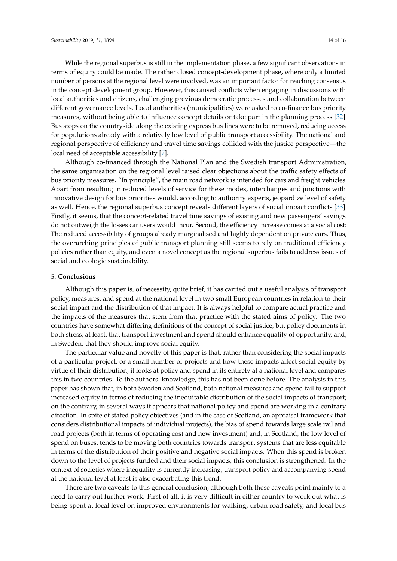While the regional superbus is still in the implementation phase, a few significant observations in terms of equity could be made. The rather closed concept-development phase, where only a limited number of persons at the regional level were involved, was an important factor for reaching consensus in the concept development group. However, this caused conflicts when engaging in discussions with local authorities and citizens, challenging previous democratic processes and collaboration between different governance levels. Local authorities (municipalities) were asked to co-finance bus priority measures, without being able to influence concept details or take part in the planning process [\[32\]](#page-15-15). Bus stops on the countryside along the existing express bus lines were to be removed, reducing access for populations already with a relatively low level of public transport accessibility. The national and regional perspective of efficiency and travel time savings collided with the justice perspective—the local need of acceptable accessibility [\[7\]](#page-14-6).

Although co-financed through the National Plan and the Swedish transport Administration, the same organisation on the regional level raised clear objections about the traffic safety effects of bus priority measures. "In principle", the main road network is intended for cars and freight vehicles. Apart from resulting in reduced levels of service for these modes, interchanges and junctions with innovative design for bus priorities would, according to authority experts, jeopardize level of safety as well. Hence, the regional superbus concept reveals different layers of social impact conflicts [\[33\]](#page-15-16). Firstly, it seems, that the concept-related travel time savings of existing and new passengers' savings do not outweigh the losses car users would incur. Second, the efficiency increase comes at a social cost: The reduced accessibility of groups already marginalised and highly dependent on private cars. Thus, the overarching principles of public transport planning still seems to rely on traditional efficiency policies rather than equity, and even a novel concept as the regional superbus fails to address issues of social and ecologic sustainability.

## **5. Conclusions**

Although this paper is, of necessity, quite brief, it has carried out a useful analysis of transport policy, measures, and spend at the national level in two small European countries in relation to their social impact and the distribution of that impact. It is always helpful to compare actual practice and the impacts of the measures that stem from that practice with the stated aims of policy. The two countries have somewhat differing definitions of the concept of social justice, but policy documents in both stress, at least, that transport investment and spend should enhance equality of opportunity, and, in Sweden, that they should improve social equity.

The particular value and novelty of this paper is that, rather than considering the social impacts of a particular project, or a small number of projects and how these impacts affect social equity by virtue of their distribution, it looks at policy and spend in its entirety at a national level and compares this in two countries. To the authors' knowledge, this has not been done before. The analysis in this paper has shown that, in both Sweden and Scotland, both national measures and spend fail to support increased equity in terms of reducing the inequitable distribution of the social impacts of transport; on the contrary, in several ways it appears that national policy and spend are working in a contrary direction. In spite of stated policy objectives (and in the case of Scotland, an appraisal framework that considers distributional impacts of individual projects), the bias of spend towards large scale rail and road projects (both in terms of operating cost and new investment) and, in Scotland, the low level of spend on buses, tends to be moving both countries towards transport systems that are less equitable in terms of the distribution of their positive and negative social impacts. When this spend is broken down to the level of projects funded and their social impacts, this conclusion is strengthened. In the context of societies where inequality is currently increasing, transport policy and accompanying spend at the national level at least is also exacerbating this trend.

There are two caveats to this general conclusion, although both these caveats point mainly to a need to carry out further work. First of all, it is very difficult in either country to work out what is being spent at local level on improved environments for walking, urban road safety, and local bus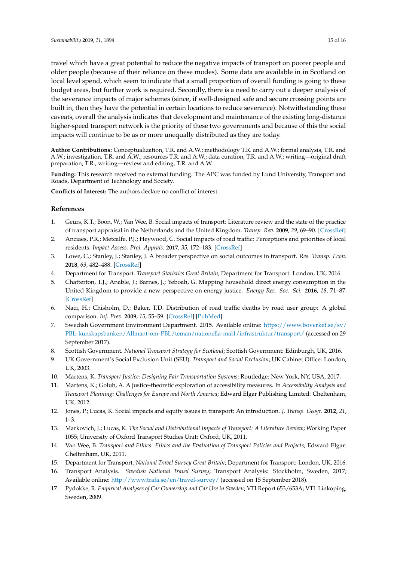travel which have a great potential to reduce the negative impacts of transport on poorer people and older people (because of their reliance on these modes). Some data are available in in Scotland on local level spend, which seem to indicate that a small proportion of overall funding is going to these budget areas, but further work is required. Secondly, there is a need to carry out a deeper analysis of the severance impacts of major schemes (since, if well-designed safe and secure crossing points are built in, then they have the potential in certain locations to reduce severance). Notwithstanding these caveats, overall the analysis indicates that development and maintenance of the existing long-distance higher-speed transport network is the priority of these two governments and because of this the social impacts will continue to be as or more unequally distributed as they are today.

**Author Contributions:** Conceptualization, T.R. and A.W.; methodology T.R. and A.W.; formal analysis, T.R. and A.W.; investigation, T.R. and A.W.; resources T.R. and A.W.; data curation, T.R. and A.W.; writing—original draft preparation, T.R.; writing—review and editing, T.R. and A.W.

**Funding:** This research received no external funding. The APC was funded by Lund University, Transport and Roads, Department of Technology and Society.

**Conflicts of Interest:** The authors declare no conflict of interest.

## **References**

- <span id="page-14-0"></span>1. Geurs, K.T.; Boon, W.; Van Wee, B. Social impacts of transport: Literature review and the state of the practice of transport appraisal in the Netherlands and the United Kingdom. *Transp. Rev.* **2009**, *29*, 69–90. [\[CrossRef\]](http://dx.doi.org/10.1080/01441640802130490)
- <span id="page-14-1"></span>2. Anciaes, P.R.; Metcalfe, P.J.; Heywood, C. Social impacts of road traffic: Perceptions and priorities of local residents. *Impact Assess. Proj. Apprais.* **2017**, *35*, 172–183. [\[CrossRef\]](http://dx.doi.org/10.1080/14615517.2016.1269464)
- <span id="page-14-2"></span>3. Lowe, C.; Stanley, J.; Stanley, J. A broader perspective on social outcomes in transport. *Res. Transp. Econ.* **2018**, *69*, 482–488. [\[CrossRef\]](http://dx.doi.org/10.1016/j.retrec.2018.03.006)
- <span id="page-14-3"></span>4. Department for Transport. *Transport Statistics Great Britain*; Department for Transport: London, UK, 2016.
- <span id="page-14-4"></span>5. Chatterton, T.J.; Anable, J.; Barnes, J.; Yeboah, G. Mapping household direct energy consumption in the United Kingdom to provide a new perspective on energy justice. *Energy Res. Soc. Sci.* **2016**, *18*, 71–87. [\[CrossRef\]](http://dx.doi.org/10.1016/j.erss.2016.04.013)
- <span id="page-14-5"></span>6. Naci, H.; Chisholm, D.; Baker, T.D. Distribution of road traffic deaths by road user group: A global comparison. *Inj. Prev.* **2009**, *15*, 55–59. [\[CrossRef\]](http://dx.doi.org/10.1136/ip.2008.018721) [\[PubMed\]](http://www.ncbi.nlm.nih.gov/pubmed/19190278)
- <span id="page-14-6"></span>7. Swedish Government Environment Department. 2015. Available online: [https://www.boverket.se/sv/](https://www.boverket.se/sv/PBL-kunskapsbanken/Allmant-om-PBL/teman/nationella-mal1/infrastruktur/transport/) [PBL-kunskapsbanken/Allmant-om-PBL/teman/nationella-mal1/infrastruktur/transport/](https://www.boverket.se/sv/PBL-kunskapsbanken/Allmant-om-PBL/teman/nationella-mal1/infrastruktur/transport/) (accessed on 29 September 2017).
- <span id="page-14-7"></span>8. Scottish Government. *National Transport Strategy for Scotland*; Scottish Government: Edinburgh, UK, 2016.
- <span id="page-14-8"></span>9. UK Government's Social Exclusion Unit (SEU). *Transport and Social Exclusion*; UK Cabinet Office: London, UK, 2003.
- <span id="page-14-9"></span>10. Martens, K. *Transport Justice: Designing Fair Transportation Systems*; Routledge: New York, NY, USA, 2017.
- <span id="page-14-10"></span>11. Martens, K.; Golub, A. A justice-theoretic exploration of accessibility measures. In *Accessibility Analysis and Transport Planning: Challenges for Europe and North America*; Edward Elgar Publishing Limited: Cheltenham, UK, 2012.
- <span id="page-14-11"></span>12. Jones, P.; Lucas, K. Social impacts and equity issues in transport: An introduction. *J. Transp. Geogr.* **2012**, *21*,  $1 - 3$ .
- <span id="page-14-12"></span>13. Markovich, J.; Lucas, K. *The Social and Distributional Impacts of Transport: A Literature Review*; Working Paper 1055; University of Oxford Transport Studies Unit: Oxford, UK, 2011.
- <span id="page-14-13"></span>14. Van Wee, B. *Transport and Ethics: Ethics and the Evaluation of Transport Policies and Projects*; Edward Elgar: Cheltenham, UK, 2011.
- <span id="page-14-14"></span>15. Department for Transport. *National Travel Survey Great Britain*; Department for Transport: London, UK, 2016.
- <span id="page-14-15"></span>16. Transport Analysis. *Swedish National Travel Survey*; Transport Analysis: Stockholm, Sweden, 2017; Available online: <http://www.trafa.se/en/travel-survey/> (accessed on 15 September 2018).
- <span id="page-14-16"></span>17. Pydokke, R. *Empirical Analyses of Car Ownership and Car Use in Sweden*; VTI Report 653/653A; VTI: Linköping, Sweden, 2009.